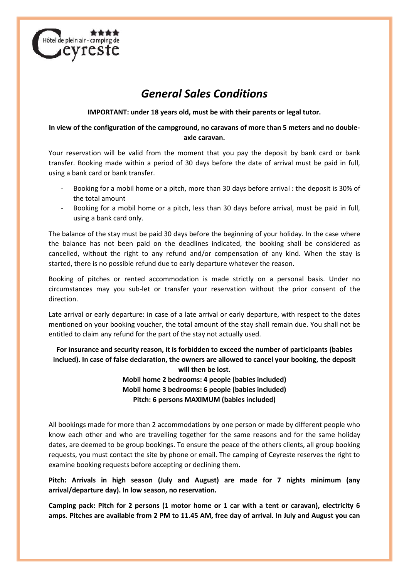

# *General Sales Conditions*

**IMPORTANT: under 18 years old, must be with their parents or legal tutor.**

## **In view of the configuration of the campground, no caravans of more than 5 meters and no doubleaxle caravan.**

Your reservation will be valid from the moment that you pay the deposit by bank card or bank transfer. Booking made within a period of 30 days before the date of arrival must be paid in full, using a bank card or bank transfer.

- Booking for a mobil home or a pitch, more than 30 days before arrival : the deposit is 30% of the total amount
- Booking for a mobil home or a pitch, less than 30 days before arrival, must be paid in full, using a bank card only.

The balance of the stay must be paid 30 days before the beginning of your holiday. In the case where the balance has not been paid on the deadlines indicated, the booking shall be considered as cancelled, without the right to any refund and/or compensation of any kind. When the stay is started, there is no possible refund due to early departure whatever the reason.

Booking of pitches or rented accommodation is made strictly on a personal basis. Under no circumstances may you sub-let or transfer your reservation without the prior consent of the direction.

Late arrival or early departure: in case of a late arrival or early departure, with respect to the dates mentioned on your booking voucher, the total amount of the stay shall remain due. You shall not be entitled to claim any refund for the part of the stay not actually used.

## **For insurance and security reason, it is forbidden to exceed the number of participants (babies inclued). In case of false declaration, the owners are allowed to cancel your booking, the deposit will then be lost.**

# **Mobil home 2 bedrooms: 4 people (babies included) Mobil home 3 bedrooms: 6 people (babies included) Pitch: 6 persons MAXIMUM (babies included)**

All bookings made for more than 2 accommodations by one person or made by different people who know each other and who are travelling together for the same reasons and for the same holiday dates, are deemed to be group bookings. To ensure the peace of the others clients, all group booking requests, you must contact the site by phone or email. The camping of Ceyreste reserves the right to examine booking requests before accepting or declining them.

**Pitch: Arrivals in high season (July and August) are made for 7 nights minimum (any arrival/departure day). In low season, no reservation.**

**Camping pack: Pitch for 2 persons (1 motor home or 1 car with a tent or caravan), electricity 6 amps. Pitches are available from 2 PM to 11.45 AM, free day of arrival. In July and August you can**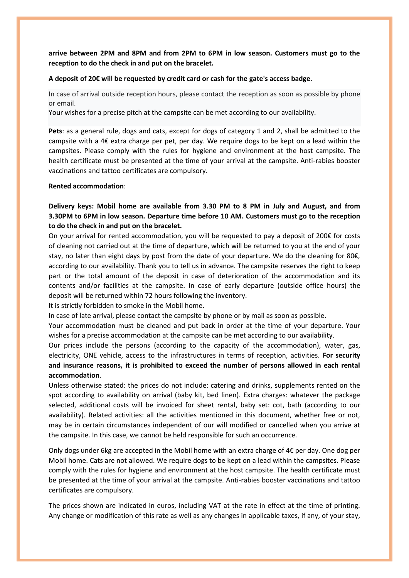**arrive between 2PM and 8PM and from 2PM to 6PM in low season. Customers must go to the reception to do the check in and put on the bracelet.**

### **A deposit of 20€ will be requested by credit card or cash for the gate's access badge.**

In case of arrival outside reception hours, please contact the reception as soon as possible by phone or email.

Your wishes for a precise pitch at the campsite can be met according to our availability.

Pets: as a general rule, dogs and cats, except for dogs of category 1 and 2, shall be admitted to the campsite with a 4€ extra charge per pet, per day. We require dogs to be kept on a lead within the campsites. Please comply with the rules for hygiene and environment at the host campsite. The health certificate must be presented at the time of your arrival at the campsite. Anti-rabies booster vaccinations and tattoo certificates are compulsory.

### **Rented accommodation**:

**Delivery keys: Mobil home are available from 3.30 PM to 8 PM in July and August, and from 3.30PM to 6PM in low season. Departure time before 10 AM. Customers must go to the reception to do the check in and put on the bracelet.**

On your arrival for rented accommodation, you will be requested to pay a deposit of 200€ for costs of cleaning not carried out at the time of departure, which will be returned to you at the end of your stay, no later than eight days by post from the date of your departure. We do the cleaning for 80€, according to our availability. Thank you to tell us in advance. The campsite reserves the right to keep part or the total amount of the deposit in case of deterioration of the accommodation and its contents and/or facilities at the campsite. In case of early departure (outside office hours) the deposit will be returned within 72 hours following the inventory.

It is strictly forbidden to smoke in the Mobil home.

In case of late arrival, please contact the campsite by phone or by mail as soon as possible.

Your accommodation must be cleaned and put back in order at the time of your departure. Your wishes for a precise accommodation at the campsite can be met according to our availability.

Our prices include the persons (according to the capacity of the accommodation), water, gas, electricity, ONE vehicle, access to the infrastructures in terms of reception, activities. **For security and insurance reasons, it is prohibited to exceed the number of persons allowed in each rental accommodation**.

Unless otherwise stated: the prices do not include: catering and drinks, supplements rented on the spot according to availability on arrival (baby kit, bed linen). Extra charges: whatever the package selected, additional costs will be invoiced for sheet rental, baby set: cot, bath (according to our availability). Related activities: all the activities mentioned in this document, whether free or not, may be in certain circumstances independent of our will modified or cancelled when you arrive at the campsite. In this case, we cannot be held responsible for such an occurrence.

Only dogs under 6kg are accepted in the Mobil home with an extra charge of 4€ per day. One dog per Mobil home. Cats are not allowed. We require dogs to be kept on a lead within the campsites. Please comply with the rules for hygiene and environment at the host campsite. The health certificate must be presented at the time of your arrival at the campsite. Anti-rabies booster vaccinations and tattoo certificates are compulsory.

The prices shown are indicated in euros, including VAT at the rate in effect at the time of printing. Any change or modification of this rate as well as any changes in applicable taxes, if any, of your stay,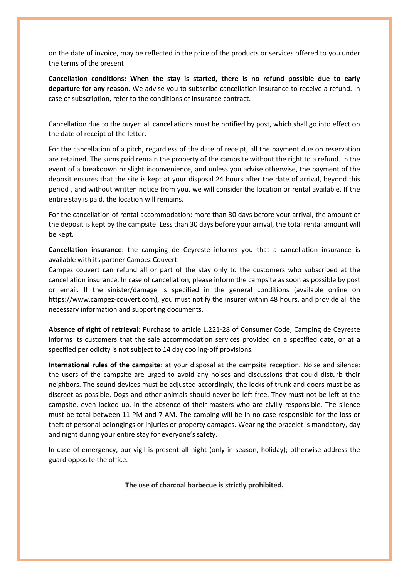on the date of invoice, may be reflected in the price of the products or services offered to you under the terms of the present

**Cancellation conditions: When the stay is started, there is no refund possible due to early departure for any reason.** We advise you to subscribe cancellation insurance to receive a refund. In case of subscription, refer to the conditions of insurance contract.

Cancellation due to the buyer: all cancellations must be notified by post, which shall go into effect on the date of receipt of the letter.

For the cancellation of a pitch, regardless of the date of receipt, all the payment due on reservation are retained. The sums paid remain the property of the campsite without the right to a refund. In the event of a breakdown or slight inconvenience, and unless you advise otherwise, the payment of the deposit ensures that the site is kept at your disposal 24 hours after the date of arrival, beyond this period , and without written notice from you, we will consider the location or rental available. If the entire stay is paid, the location will remains.

For the cancellation of rental accommodation: more than 30 days before your arrival, the amount of the deposit is kept by the campsite. Less than 30 days before your arrival, the total rental amount will be kept.

**Cancellation insurance**: the camping de Ceyreste informs you that a cancellation insurance is available with its partner Campez Couvert.

Campez couvert can refund all or part of the stay only to the customers who subscribed at the cancellation insurance. In case of cancellation, please inform the campsite as soon as possible by post or email. If the sinister/damage is specified in the general conditions (available online on https://www.campez-couvert.com), you must notify the insurer within 48 hours, and provide all the necessary information and supporting documents.

**Absence of right of retrieval**: Purchase to article L.221-28 of Consumer Code, Camping de Ceyreste informs its customers that the sale accommodation services provided on a specified date, or at a specified periodicity is not subject to 14 day cooling-off provisions.

**International rules of the campsite**: at your disposal at the campsite reception. Noise and silence: the users of the campsite are urged to avoid any noises and discussions that could disturb their neighbors. The sound devices must be adjusted accordingly, the locks of trunk and doors must be as discreet as possible. Dogs and other animals should never be left free. They must not be left at the campsite, even locked up, in the absence of their masters who are civilly responsible. The silence must be total between 11 PM and 7 AM. The camping will be in no case responsible for the loss or theft of personal belongings or injuries or property damages. Wearing the bracelet is mandatory, day and night during your entire stay for everyone's safety.

In case of emergency, our vigil is present all night (only in season, holiday); otherwise address the guard opposite the office.

**The use of charcoal barbecue is strictly prohibited.**